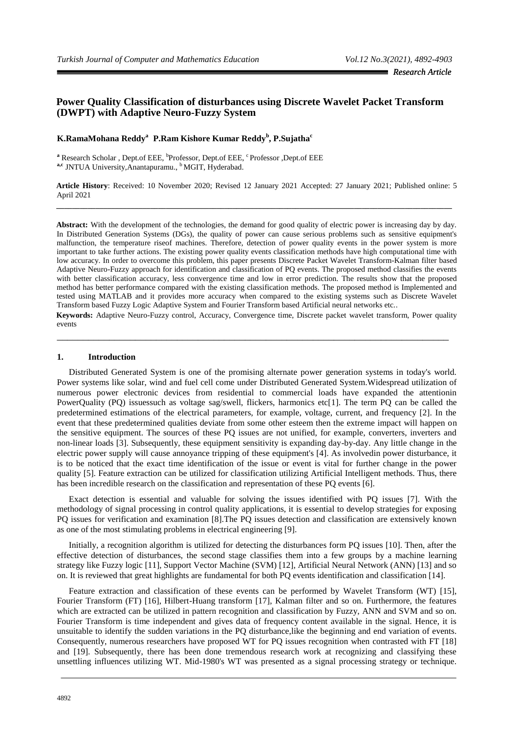# **Power Quality Classification of disturbances using Discrete Wavelet Packet Transform (DWPT) with Adaptive Neuro-Fuzzy System**

## **K.RamaMohana Reddy<sup>a</sup>P.Ram Kishore Kumar Reddy<sup>b</sup> , P.Sujatha<sup>c</sup>**

<sup>a</sup> Research Scholar , Dept.of EEE, <sup>b</sup>Professor, Dept.of EEE, <sup>c</sup>Professor ,Dept.of EEE a,c JNTUA University, Anantapuramu., <sup>b</sup>MGIT, Hyderabad.

**Article History**: Received: 10 November 2020; Revised 12 January 2021 Accepted: 27 January 2021; Published online: 5 April 2021 **\_\_\_\_\_\_\_\_\_\_\_\_\_\_\_\_\_\_\_\_\_\_\_\_\_\_\_\_\_\_\_\_\_\_\_\_\_\_\_\_\_\_\_\_\_\_\_\_\_\_\_\_\_\_\_\_\_\_\_\_\_\_\_\_\_\_\_\_\_\_\_\_\_\_\_\_\_\_\_\_\_\_\_\_\_\_\_\_\_\_\_\_\_\_\_\_\_\_\_\_\_**

**Abstract:** With the development of the technologies, the demand for good quality of electric power is increasing day by day. In Distributed Generation Systems (DGs), the quality of power can cause serious problems such as sensitive equipment's malfunction, the temperature riseof machines. Therefore, detection of power quality events in the power system is more important to take further actions. The existing power quality events classification methods have high computational time with low accuracy. In order to overcome this problem, this paper presents Discrete Packet Wavelet Transform-Kalman filter based Adaptive Neuro-Fuzzy approach for identification and classification of PQ events. The proposed method classifies the events with better classification accuracy, less convergence time and low in error prediction. The results show that the proposed method has better performance compared with the existing classification methods. The proposed method is Implemented and tested using MATLAB and it provides more accuracy when compared to the existing systems such as Discrete Wavelet Transform based Fuzzy Logic Adaptive System and Fourier Transform based Artificial neural networks etc..

**Keywords:** Adaptive Neuro-Fuzzy control, Accuracy, Convergence time, Discrete packet wavelet transform, Power quality events

\_\_\_\_\_\_\_\_\_\_\_\_\_\_\_\_\_\_\_\_\_\_\_\_\_\_\_\_\_\_\_\_\_\_\_\_\_\_\_\_\_\_\_\_\_\_\_\_\_\_\_\_\_\_\_\_\_\_\_\_\_\_\_\_\_\_\_\_\_\_\_\_\_\_\_

### **1. Introduction**

Distributed Generated System is one of the promising alternate power generation systems in today's world. Power systems like solar, wind and fuel cell come under Distributed Generated System.Widespread utilization of numerous power electronic devices from residential to commercial loads have expanded the attentionin PowerQuality (PQ) issuessuch as voltage sag/swell, flickers, harmonics etc[1]. The term PQ can be called the predetermined estimations of the electrical parameters, for example, voltage, current, and frequency [2]. In the event that these predetermined qualities deviate from some other esteem then the extreme impact will happen on the sensitive equipment. The sources of these PQ issues are not unified, for example, converters, inverters and non-linear loads [3]. Subsequently, these equipment sensitivity is expanding day-by-day. Any little change in the electric power supply will cause annoyance tripping of these equipment's [4]. As involvedin power disturbance, it is to be noticed that the exact time identification of the issue or event is vital for further change in the power quality [5]. Feature extraction can be utilized for classification utilizing Artificial Intelligent methods. Thus, there has been incredible research on the classification and representation of these PQ events [6].

Exact detection is essential and valuable for solving the issues identified with PQ issues [7]. With the methodology of signal processing in control quality applications, it is essential to develop strategies for exposing PQ issues for verification and examination [8].The PQ issues detection and classification are extensively known as one of the most stimulating problems in electrical engineering [9].

Initially, a recognition algorithm is utilized for detecting the disturbances form PQ issues [10]. Then, after the effective detection of disturbances, the second stage classifies them into a few groups by a machine learning strategy like Fuzzy logic [11], Support Vector Machine (SVM) [12], Artificial Neural Network (ANN) [13] and so on. It is reviewed that great highlights are fundamental for both PQ events identification and classification [14].

Feature extraction and classification of these events can be performed by Wavelet Transform (WT) [15], Fourier Transform (FT) [16], Hilbert-Huang transform [17], Kalman filter and so on. Furthermore, the features which are extracted can be utilized in pattern recognition and classification by Fuzzy, ANN and SVM and so on. Fourier Transform is time independent and gives data of frequency content available in the signal. Hence, it is unsuitable to identify the sudden variations in the PQ disturbance,like the beginning and end variation of events. Consequently, numerous researchers have proposed WT for PQ issues recognition when contrasted with FT [18] and [19]. Subsequently, there has been done tremendous research work at recognizing and classifying these unsettling influences utilizing WT. Mid-1980's WT was presented as a signal processing strategy or technique.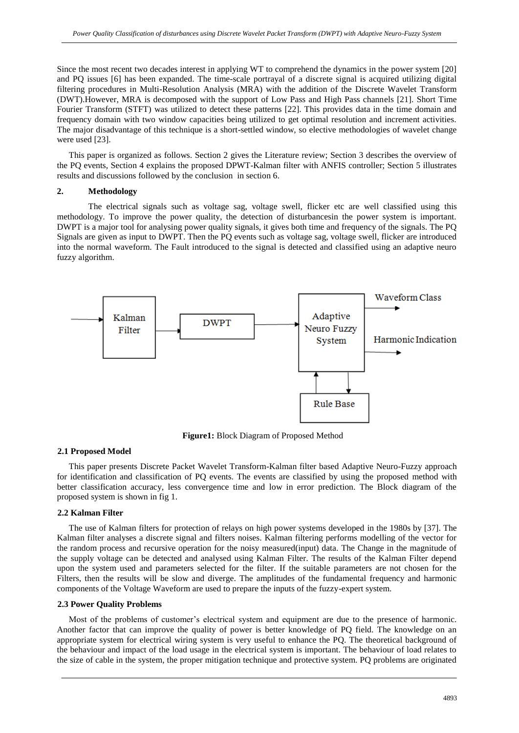Since the most recent two decades interest in applying WT to comprehend the dynamics in the power system [20] and PQ issues [6] has been expanded. The time-scale portrayal of a discrete signal is acquired utilizing digital filtering procedures in Multi-Resolution Analysis (MRA) with the addition of the Discrete Wavelet Transform (DWT).However, MRA is decomposed with the support of Low Pass and High Pass channels [21]. Short Time Fourier Transform (STFT) was utilized to detect these patterns [22]. This provides data in the time domain and frequency domain with two window capacities being utilized to get optimal resolution and increment activities. The major disadvantage of this technique is a short-settled window, so elective methodologies of wavelet change were used [23].

This paper is organized as follows. Section 2 gives the Literature review; Section 3 describes the overview of the PQ events, Section 4 explains the proposed DPWT-Kalman filter with ANFIS controller; Section 5 illustrates results and discussions followed by the conclusion in section 6.

### **2. Methodology**

The electrical signals such as voltage sag, voltage swell, flicker etc are well classified using this methodology. To improve the power quality, the detection of disturbancesin the power system is important. DWPT is a major tool for analysing power quality signals, it gives both time and frequency of the signals. The PQ Signals are given as input to DWPT. Then the PQ events such as voltage sag, voltage swell, flicker are introduced into the normal waveform. The Fault introduced to the signal is detected and classified using an adaptive neuro fuzzy algorithm.



**Figure1:** Block Diagram of Proposed Method

#### **2.1 Proposed Model**

This paper presents Discrete Packet Wavelet Transform-Kalman filter based Adaptive Neuro-Fuzzy approach for identification and classification of PQ events. The events are classified by using the proposed method with better classification accuracy, less convergence time and low in error prediction. The Block diagram of the proposed system is shown in fig 1.

#### **2.2 Kalman Filter**

The use of Kalman filters for protection of relays on high power systems developed in the 1980s by [37]. The Kalman filter analyses a discrete signal and filters noises. Kalman filtering performs modelling of the vector for the random process and recursive operation for the noisy measured(input) data. The Change in the magnitude of the supply voltage can be detected and analysed using Kalman Filter. The results of the Kalman Filter depend upon the system used and parameters selected for the filter. If the suitable parameters are not chosen for the Filters, then the results will be slow and diverge. The amplitudes of the fundamental frequency and harmonic components of the Voltage Waveform are used to prepare the inputs of the fuzzy-expert system.

### **2.3 Power Quality Problems**

Most of the problems of customer's electrical system and equipment are due to the presence of harmonic. Another factor that can improve the quality of power is better knowledge of PQ field. The knowledge on an appropriate system for electrical wiring system is very useful to enhance the PQ. The theoretical background of the behaviour and impact of the load usage in the electrical system is important. The behaviour of load relates to the size of cable in the system, the proper mitigation technique and protective system. PQ problems are originated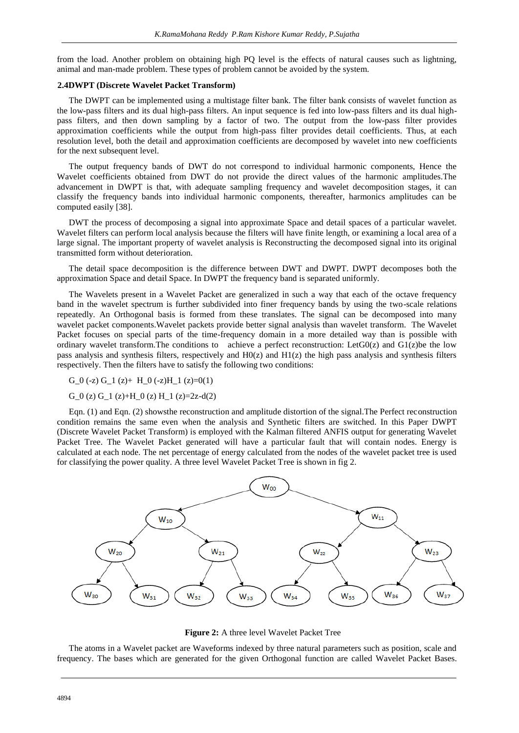from the load. Another problem on obtaining high PQ level is the effects of natural causes such as lightning, animal and man-made problem. These types of problem cannot be avoided by the system.

#### **2.4DWPT (Discrete Wavelet Packet Transform)**

The DWPT can be implemented using a multistage filter bank. The filter bank consists of wavelet function as the low-pass filters and its dual high-pass filters. An input sequence is fed into low-pass filters and its dual highpass filters, and then down sampling by a factor of two. The output from the low-pass filter provides approximation coefficients while the output from high-pass filter provides detail coefficients. Thus, at each resolution level, both the detail and approximation coefficients are decomposed by wavelet into new coefficients for the next subsequent level.

The output frequency bands of DWT do not correspond to individual harmonic components, Hence the Wavelet coefficients obtained from DWT do not provide the direct values of the harmonic amplitudes.The advancement in DWPT is that, with adequate sampling frequency and wavelet decomposition stages, it can classify the frequency bands into individual harmonic components, thereafter, harmonics amplitudes can be computed easily [38].

DWT the process of decomposing a signal into approximate Space and detail spaces of a particular wavelet. Wavelet filters can perform local analysis because the filters will have finite length, or examining a local area of a large signal. The important property of wavelet analysis is Reconstructing the decomposed signal into its original transmitted form without deterioration.

The detail space decomposition is the difference between DWT and DWPT. DWPT decomposes both the approximation Space and detail Space. In DWPT the frequency band is separated uniformly.

The Wavelets present in a Wavelet Packet are generalized in such a way that each of the octave frequency band in the wavelet spectrum is further subdivided into finer frequency bands by using the two-scale relations repeatedly. An Orthogonal basis is formed from these translates. The signal can be decomposed into many wavelet packet components.Wavelet packets provide better signal analysis than wavelet transform. The Wavelet Packet focuses on special parts of the time-frequency domain in a more detailed way than is possible with ordinary wavelet transform.The conditions to achieve a perfect reconstruction: LetG0(z) and G1(z)be the low pass analysis and synthesis filters, respectively and H0(z) and H1(z) the high pass analysis and synthesis filters respectively. Then the filters have to satisfy the following two conditions:

G\_0 (-z) G\_1 (z)+ H\_0 (-z)H\_1 (z)=0(1)

#### G\_0 (z) G\_1 (z)+H\_0 (z) H\_1 (z)=2z-d(2)

Eqn. (1) and Eqn. (2) showsthe reconstruction and amplitude distortion of the signal.The Perfect reconstruction condition remains the same even when the analysis and Synthetic filters are switched. In this Paper DWPT (Discrete Wavelet Packet Transform) is employed with the Kalman filtered ANFIS output for generating Wavelet Packet Tree. The Wavelet Packet generated will have a particular fault that will contain nodes. Energy is calculated at each node. The net percentage of energy calculated from the nodes of the wavelet packet tree is used for classifying the power quality. A three level Wavelet Packet Tree is shown in fig 2.





The atoms in a Wavelet packet are Waveforms indexed by three natural parameters such as position, scale and frequency. The bases which are generated for the given Orthogonal function are called Wavelet Packet Bases.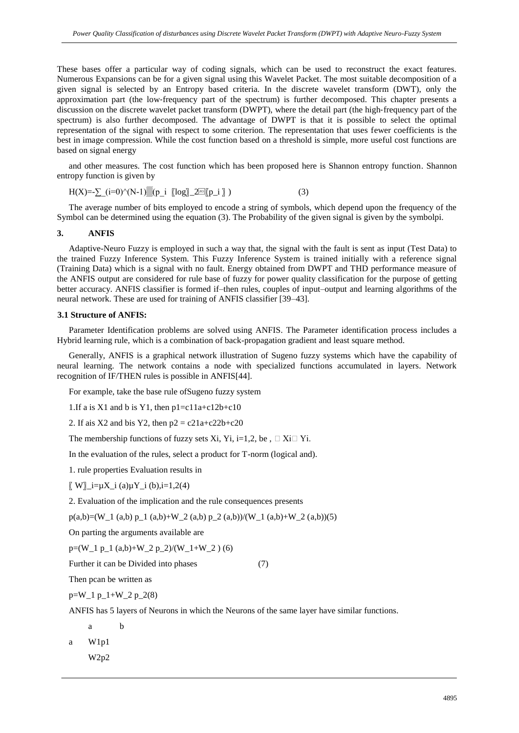These bases offer a particular way of coding signals, which can be used to reconstruct the exact features. Numerous Expansions can be for a given signal using this Wavelet Packet. The most suitable decomposition of a given signal is selected by an Entropy based criteria. In the discrete wavelet transform (DWT), only the approximation part (the low‐frequency part of the spectrum) is further decomposed. This chapter presents a discussion on the discrete wavelet packet transform (DWPT), where the detail part (the high‐frequency part of the spectrum) is also further decomposed. The advantage of DWPT is that it is possible to select the optimal representation of the signal with respect to some criterion. The representation that uses fewer coefficients is the best in image compression. While the cost function based on a threshold is simple, more useful cost functions are based on signal energy

and other measures. The cost function which has been proposed here is Shannon entropy function. Shannon entropy function is given by

$$
H(X) = \sum_{i=0}^{\infty} (i=0)^{\wedge} (N-1) \underbrace{\mathbb{E}[p_i \quad \mathbb{E}[log] \quad 2 \mathbb{E}[p_i \quad \mathbb{E}[p_i \quad \mathbb{E}[p_i \quad \mathbb{E}[p_i \quad \mathbb{E}[p_i \quad \mathbb{E}[p_i \quad \mathbb{E}[p_i \quad \mathbb{E}[p_i \quad \mathbb{E}[p_i \quad \mathbb{E}[p_i \quad \mathbb{E}[p_i \quad \mathbb{E}[p_i \quad \mathbb{E}[p_i \quad \mathbb{E}[p_i \quad \mathbb{E}[p_i \quad \mathbb{E}[p_i \quad \mathbb{E}[p_i \quad \mathbb{E}[p_i \quad \mathbb{E}[p_i \quad \mathbb{E}[p_i \quad \mathbb{E}[p_i \quad \mathbb{E}[p_i \quad \mathbb{E}[p_i \quad \mathbb{E}[p_i \quad \mathbb{E}[p_i \quad \mathbb{E}[p_i \quad \mathbb{E}[p_i \quad \mathbb{E}[p_i \quad \mathbb{E}[p_i \quad \mathbb{E}[p_i \quad \mathbb{E}[p_i \quad \mathbb{E}[p_i \quad \mathbb{E}[p_i \quad \mathbb{E}[p_i \quad \mathbb{E}[p_i \quad \mathbb{E}[p_i \quad \mathbb{E}[p_i \quad \mathbb{E}[p_i \quad \mathbb{E}[p_i \quad \mathbb{E}[p_i \quad \mathbb{E}[p_i \quad \mathbb{E}[p_i \quad \mathbb{E}[p_i \quad \mathbb{E}[p_i \quad \mathbb{E}[p_i \quad \mathbb{E}[p_i \quad \mathbb{E}[p_i \quad \mathbb{E}[p_i \quad \mathbb{E}[p_i \quad \mathbb{E}[p_i \quad \mathbb{E}[p_i \quad \mathbb{E}[p_i \quad \mathbb{E}[p_i \quad \mathbb{E}[p_i \quad \mathbb{E}[p_i \quad \mathbb{E}[p_i \quad \mathbb{E}[p_i \quad \mathbb{E}[p_i \quad \mathbb{E}[p_i \quad \mathbb{E}[p_i \quad \mathbb{E}[p_i \quad \mathbb{E}[p_i \quad \mathbb{E}[p_i \quad \mathbb{E}[p_i \quad \mathbb{E}[p_i \quad \mathbb{E}[p_i \quad \mathbb{E}[p_i \quad \mathbb{E}[p_i \quad \mathbb{E}[p_i \quad \mathbb{E}[p_i \quad \mathbb{
$$

The average number of bits employed to encode a string of symbols, which depend upon the frequency of the Symbol can be determined using the equation (3). The Probability of the given signal is given by the symbolpi.

### **3. ANFIS**

Adaptive-Neuro Fuzzy is employed in such a way that, the signal with the fault is sent as input (Test Data) to the trained Fuzzy Inference System. This Fuzzy Inference System is trained initially with a reference signal (Training Data) which is a signal with no fault. Energy obtained from DWPT and THD performance measure of the ANFIS output are considered for rule base of fuzzy for power quality classification for the purpose of getting better accuracy. ANFIS classifier is formed if–then rules, couples of input–output and learning algorithms of the neural network. These are used for training of ANFIS classifier [39–43].

#### **3.1 Structure of ANFIS:**

Parameter Identification problems are solved using ANFIS. The Parameter identification process includes a Hybrid learning rule, which is a combination of back-propagation gradient and least square method.

Generally, ANFIS is a graphical network illustration of Sugeno fuzzy systems which have the capability of neural learning. The network contains a node with specialized functions accumulated in layers. Network recognition of IF/THEN rules is possible in ANFIS[44].

For example, take the base rule ofSugeno fuzzy system

1. If a is X1 and b is Y1, then  $p1 = c11a + c12b + c10$ 

2. If ais X2 and bis Y2, then  $p2 = c21a + c22b + c20$ 

The membership functions of fuzzy sets Xi, Yi, i=1,2, be,  $\Box$  Xi $\Box$  Yi.

In the evaluation of the rules, select a product for T-norm (logical and).

1. rule properties Evaluation results in

 $\llbracket$  W $\rrbracket$ \_i= $\mu$ X\_i (a) $\mu$ Y\_i (b),i=1,2(4)

2. Evaluation of the implication and the rule consequences presents

 $p(a,b)=(W_1 (a,b) p_1 (a,b)+W_2 (a,b) p_2 (a,b)/(W_1 (a,b)+W_2 (a,b))(5)$ 

On parting the arguments available are

 $p=(W_1 p_1 (a,b)+W_2 p_2)/(W_1+W_2 (6))$ 

Further it can be Divided into phases (7)

Then pcan be written as

 $p=W_1 p_1+W_2 p_2(8)$ 

ANFIS has 5 layers of Neurons in which the Neurons of the same layer have similar functions.

a b

a W1p1 W2p2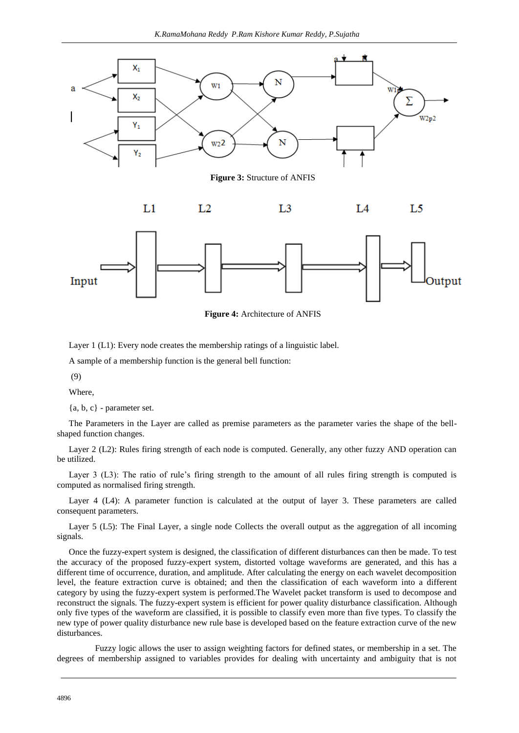

**Figure 3:** Structure of ANFIS





**Figure 4:** Architecture of ANFIS

Layer 1 (L1): Every node creates the membership ratings of a linguistic label.

A sample of a membership function is the general bell function:

(9)

Where,

 ${a, b, c}$  - parameter set.

The Parameters in the Layer are called as premise parameters as the parameter varies the shape of the bellshaped function changes.

Layer 2 (L2): Rules firing strength of each node is computed. Generally, any other fuzzy AND operation can be utilized.

Layer 3 (L3): The ratio of rule's firing strength to the amount of all rules firing strength is computed is computed as normalised firing strength.

Layer 4 (L4): A parameter function is calculated at the output of layer 3. These parameters are called consequent parameters.

Layer 5 (L5): The Final Layer, a single node Collects the overall output as the aggregation of all incoming signals.

Once the fuzzy-expert system is designed, the classification of different disturbances can then be made. To test the accuracy of the proposed fuzzy-expert system, distorted voltage waveforms are generated, and this has a different time of occurrence, duration, and amplitude. After calculating the energy on each wavelet decomposition level, the feature extraction curve is obtained; and then the classification of each waveform into a different category by using the fuzzy-expert system is performed.The Wavelet packet transform is used to decompose and reconstruct the signals. The fuzzy-expert system is efficient for power quality disturbance classification. Although only five types of the waveform are classified, it is possible to classify even more than five types. To classify the new type of power quality disturbance new rule base is developed based on the feature extraction curve of the new disturbances.

 Fuzzy logic allows the user to assign weighting factors for defined states, or membership in a set. The degrees of membership assigned to variables provides for dealing with uncertainty and ambiguity that is not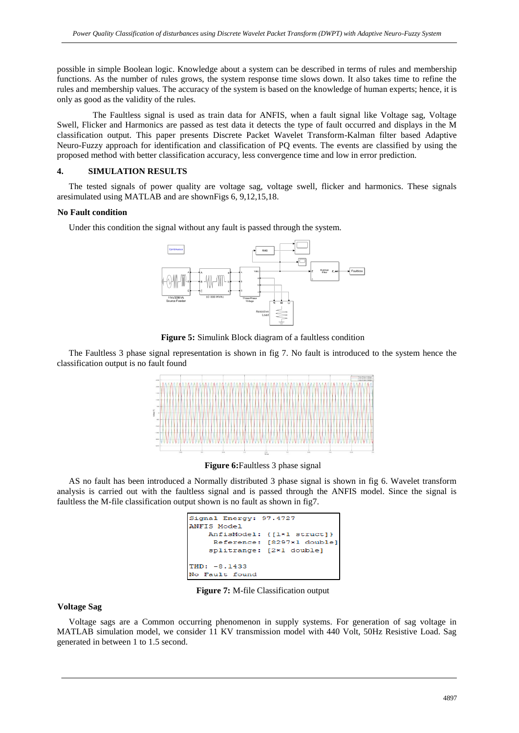possible in simple Boolean logic. Knowledge about a system can be described in terms of rules and membership functions. As the number of rules grows, the system response time slows down. It also takes time to refine the rules and membership values. The accuracy of the system is based on the knowledge of human experts; hence, it is only as good as the validity of the rules.

 The Faultless signal is used as train data for ANFIS, when a fault signal like Voltage sag, Voltage Swell, Flicker and Harmonics are passed as test data it detects the type of fault occurred and displays in the M classification output. This paper presents Discrete Packet Wavelet Transform-Kalman filter based Adaptive Neuro-Fuzzy approach for identification and classification of PQ events. The events are classified by using the proposed method with better classification accuracy, less convergence time and low in error prediction.

## **4. SIMULATION RESULTS**

The tested signals of power quality are voltage sag, voltage swell, flicker and harmonics. These signals aresimulated using MATLAB and are shownFigs 6, 9,12,15,18.

#### **No Fault condition**

Under this condition the signal without any fault is passed through the system.



**Figure 5:** Simulink Block diagram of a faultless condition

The Faultless 3 phase signal representation is shown in fig 7. No fault is introduced to the system hence the classification output is no fault found



**Figure 6:**Faultless 3 phase signal

AS no fault has been introduced a Normally distributed 3 phase signal is shown in fig 6. Wavelet transform analysis is carried out with the faultless signal and is passed through the ANFIS model. Since the signal is faultless the M-file classification output shown is no fault as shown in fig7.

| Signal Energy: 97.4727     |  |  |  |
|----------------------------|--|--|--|
| ANFIS Model                |  |  |  |
| AnfisModel: {[1*1 struct]} |  |  |  |
| Reference: [8297*1 double] |  |  |  |
| splitrange: [2*1 double]   |  |  |  |
|                            |  |  |  |
| $THD: -8.1433$             |  |  |  |
| No Fault found             |  |  |  |

**Figure 7:** M-file Classification output

#### **Voltage Sag**

Voltage sags are a Common occurring phenomenon in supply systems. For generation of sag voltage in MATLAB simulation model, we consider 11 KV transmission model with 440 Volt, 50Hz Resistive Load. Sag generated in between 1 to 1.5 second.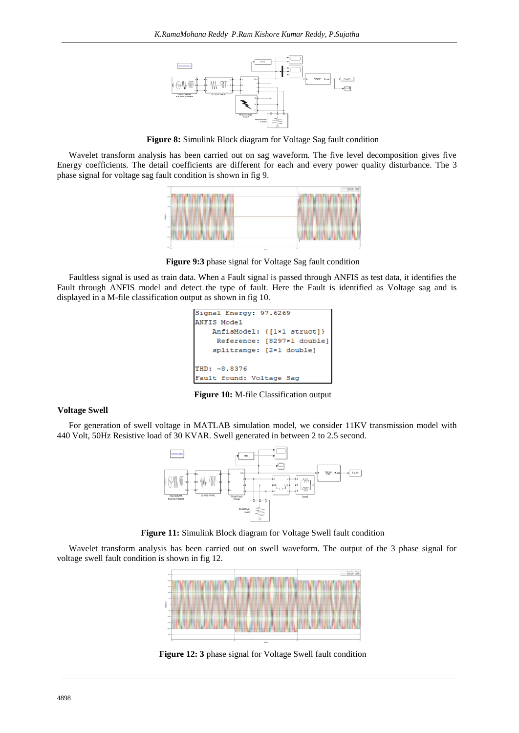

**Figure 8:** Simulink Block diagram for Voltage Sag fault condition

Wavelet transform analysis has been carried out on sag waveform. The five level decomposition gives five Energy coefficients. The detail coefficients are different for each and every power quality disturbance. The 3 phase signal for voltage sag fault condition is shown in fig 9.



**Figure 9:3** phase signal for Voltage Sag fault condition

Faultless signal is used as train data. When a Fault signal is passed through ANFIS as test data, it identifies the Fault through ANFIS model and detect the type of fault. Here the Fault is identified as Voltage sag and is displayed in a M-file classification output as shown in fig 10.



**Figure 10:** M-file Classification output

#### **Voltage Swell**

For generation of swell voltage in MATLAB simulation model, we consider 11KV transmission model with 440 Volt, 50Hz Resistive load of 30 KVAR. Swell generated in between 2 to 2.5 second.



**Figure 11:** Simulink Block diagram for Voltage Swell fault condition

Wavelet transform analysis has been carried out on swell waveform. The output of the 3 phase signal for voltage swell fault condition is shown in fig 12.



**Figure 12: 3** phase signal for Voltage Swell fault condition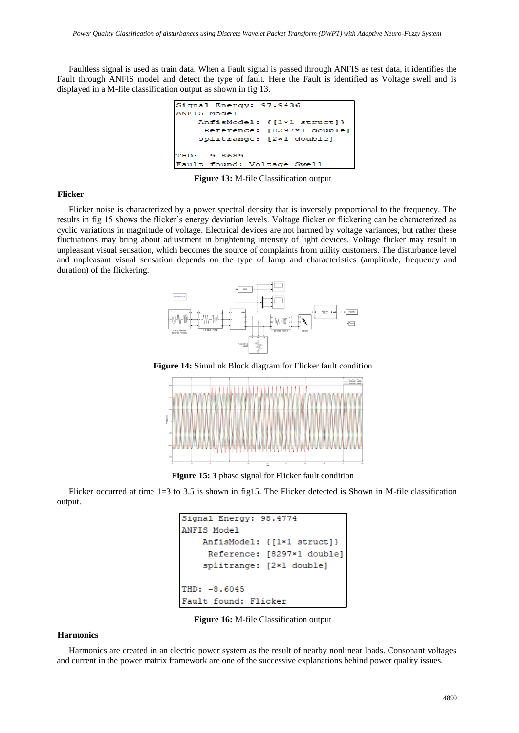Faultless signal is used as train data. When a Fault signal is passed through ANFIS as test data, it identifies the Fault through ANFIS model and detect the type of fault. Here the Fault is identified as Voltage swell and is displayed in a M-file classification output as shown in fig 13.

```
Signal Energy:
               97.9436
ANFIS Model
    AnfisModel:
                 {I1\times1 structl)
     Reference: [8297*1 double]
    splitrange: [2*1 double]
THD:
     -9.8689Fault found:
              Voltage Swell
```
**Figure 13:** M-file Classification output

#### **Flicker**

Flicker noise is characterized by a power spectral density that is inversely proportional to the frequency. The results in fig 15 shows the flicker's energy deviation levels. Voltage flicker or flickering can be characterized as cyclic variations in magnitude of voltage. Electrical devices are not harmed by voltage variances, but rather these fluctuations may bring about adjustment in brightening intensity of light devices. Voltage flicker may result in unpleasant visual sensation, which becomes the source of complaints from utility customers. The disturbance level and unpleasant visual sensation depends on the type of lamp and characteristics (amplitude, frequency and duration) of the flickering.



**Figure 14:** Simulink Block diagram for Flicker fault condition



**Figure 15: 3** phase signal for Flicker fault condition

Flicker occurred at time 1=3 to 3.5 is shown in fig15. The Flicker detected is Shown in M-file classification output.

```
Signal Energy: 98.4774
ANFIS Model
    AnfisModel: {[1*1 struct]}
     Reference: [8297*1 double]
    splitrange: [2*1 double]
THD: -8.6045
Fault found: Flicker
```
**Figure 16:** M-file Classification output

## **Harmonics**

Harmonics are created in an electric power system as the result of nearby nonlinear loads. Consonant voltages and current in the power matrix framework are one of the successive explanations behind power quality issues.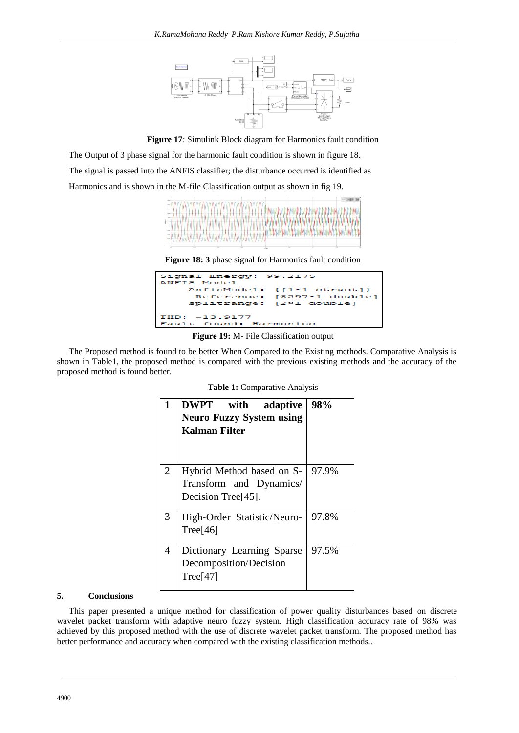

**Figure 17**: Simulink Block diagram for Harmonics fault condition

The Output of 3 phase signal for the harmonic fault condition is shown in figure 18. The signal is passed into the ANFIS classifier; the disturbance occurred is identified as Harmonics and is shown in the M-file Classification output as shown in fig 19.



**Figure 18: 3** phase signal for Harmonics fault condition



**Figure 19:** M- File Classification output

The Proposed method is found to be better When Compared to the Existing methods. Comparative Analysis is shown in Table1, the proposed method is compared with the previous existing methods and the accuracy of the proposed method is found better.

|                | <b>DWPT</b> with adaptive<br><b>Neuro Fuzzy System using</b><br>Kalman Filter           | 98%   |
|----------------|-----------------------------------------------------------------------------------------|-------|
| $\overline{2}$ | Hybrid Method based on S-<br>Transform and Dynamics/<br>Decision Tree <sup>[45]</sup> . | 97.9% |
| 3              | High-Order Statistic/Neuro-<br>Tree $[46]$                                              | 97.8% |
| 4              | Dictionary Learning Sparse<br>Decomposition/Decision<br>Tree[47]                        | 97.5% |

**Table 1:** Comparative Analysis

### **5. Conclusions**

This paper presented a unique method for classification of power quality disturbances based on discrete wavelet packet transform with adaptive neuro fuzzy system. High classification accuracy rate of 98% was achieved by this proposed method with the use of discrete wavelet packet transform. The proposed method has better performance and accuracy when compared with the existing classification methods..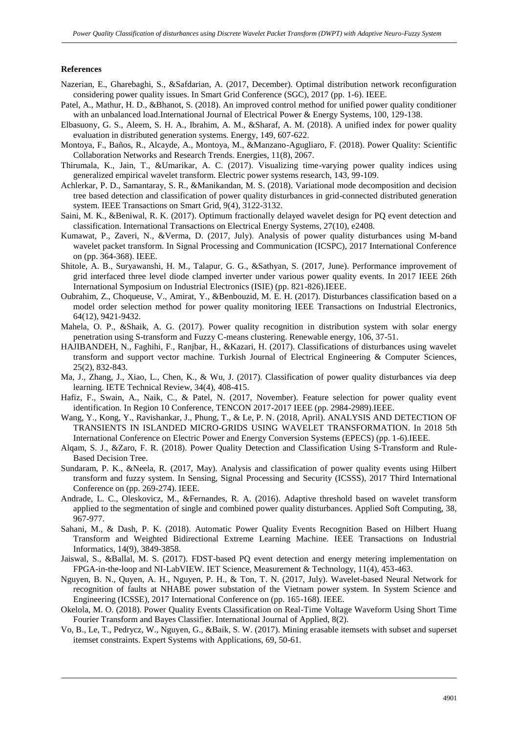#### **References**

- Nazerian, E., Gharebaghi, S., &Safdarian, A. (2017, December). Optimal distribution network reconfiguration considering power quality issues. In Smart Grid Conference (SGC), 2017 (pp. 1-6). IEEE.
- Patel, A., Mathur, H. D., &Bhanot, S. (2018). An improved control method for unified power quality conditioner with an unbalanced load.International Journal of Electrical Power & Energy Systems, 100, 129-138.
- Elbasuony, G. S., Aleem, S. H. A., Ibrahim, A. M., &Sharaf, A. M. (2018). A unified index for power quality evaluation in distributed generation systems. Energy, 149, 607-622.
- Montoya, F., Baños, R., Alcayde, A., Montoya, M., &Manzano-Agugliaro, F. (2018). Power Quality: Scientific Collaboration Networks and Research Trends. Energies, 11(8), 2067.
- Thirumala, K., Jain, T., &Umarikar, A. C. (2017). Visualizing time-varying power quality indices using generalized empirical wavelet transform. Electric power systems research, 143, 99-109.
- Achlerkar, P. D., Samantaray, S. R., &Manikandan, M. S. (2018). Variational mode decomposition and decision tree based detection and classification of power quality disturbances in grid-connected distributed generation system. IEEE Transactions on Smart Grid, 9(4), 3122-3132.
- Saini, M. K., &Beniwal, R. K. (2017). Optimum fractionally delayed wavelet design for PQ event detection and classification. International Transactions on Electrical Energy Systems, 27(10), e2408.
- Kumawat, P., Zaveri, N., &Verma, D. (2017, July). Analysis of power quality disturbances using M-band wavelet packet transform. In Signal Processing and Communication (ICSPC), 2017 International Conference on (pp. 364-368). IEEE.
- Shitole, A. B., Suryawanshi, H. M., Talapur, G. G., &Sathyan, S. (2017, June). Performance improvement of grid interfaced three level diode clamped inverter under various power quality events. In 2017 IEEE 26th International Symposium on Industrial Electronics (ISIE) (pp. 821-826).IEEE.
- Oubrahim, Z., Choqueuse, V., Amirat, Y., &Benbouzid, M. E. H. (2017). Disturbances classification based on a model order selection method for power quality monitoring IEEE Transactions on Industrial Electronics, 64(12), 9421-9432.
- Mahela, O. P., &Shaik, A. G. (2017). Power quality recognition in distribution system with solar energy penetration using S-transform and Fuzzy C-means clustering. Renewable energy, 106, 37-51.
- HAJIBANDEH, N., Faghihi, F., Ranjbar, H., &Kazari, H. (2017). Classifications of disturbances using wavelet transform and support vector machine. Turkish Journal of Electrical Engineering & Computer Sciences, 25(2), 832-843.
- Ma, J., Zhang, J., Xiao, L., Chen, K., & Wu, J. (2017). Classification of power quality disturbances via deep learning. IETE Technical Review, 34(4), 408-415.
- Hafiz, F., Swain, A., Naik, C., & Patel, N. (2017, November). Feature selection for power quality event identification. In Region 10 Conference, TENCON 2017-2017 IEEE (pp. 2984-2989).IEEE.
- Wang, Y., Kong, Y., Ravishankar, J., Phung, T., & Le, P. N. (2018, April). ANALYSIS AND DETECTION OF TRANSIENTS IN ISLANDED MICRO-GRIDS USING WAVELET TRANSFORMATION. In 2018 5th International Conference on Electric Power and Energy Conversion Systems (EPECS) (pp. 1-6).IEEE.
- Alqam, S. J., &Zaro, F. R. (2018). Power Quality Detection and Classification Using S-Transform and Rule-Based Decision Tree.
- Sundaram, P. K., &Neela, R. (2017, May). Analysis and classification of power quality events using Hilbert transform and fuzzy system. In Sensing, Signal Processing and Security (ICSSS), 2017 Third International Conference on (pp. 269-274). IEEE.
- Andrade, L. C., Oleskovicz, M., &Fernandes, R. A. (2016). Adaptive threshold based on wavelet transform applied to the segmentation of single and combined power quality disturbances. Applied Soft Computing, 38, 967-977.
- Sahani, M., & Dash, P. K. (2018). Automatic Power Quality Events Recognition Based on Hilbert Huang Transform and Weighted Bidirectional Extreme Learning Machine. IEEE Transactions on Industrial Informatics, 14(9), 3849-3858.
- Jaiswal, S., &Ballal, M. S. (2017). FDST-based PQ event detection and energy metering implementation on FPGA-in-the-loop and NI-LabVIEW. IET Science, Measurement & Technology, 11(4), 453-463.
- Nguyen, B. N., Quyen, A. H., Nguyen, P. H., & Ton, T. N. (2017, July). Wavelet-based Neural Network for recognition of faults at NHABE power substation of the Vietnam power system. In System Science and Engineering (ICSSE), 2017 International Conference on (pp. 165-168). IEEE.
- Okelola, M. O. (2018). Power Quality Events Classification on Real-Time Voltage Waveform Using Short Time Fourier Transform and Bayes Classifier. International Journal of Applied, 8(2).
- Vo, B., Le, T., Pedrycz, W., Nguyen, G., &Baik, S. W. (2017). Mining erasable itemsets with subset and superset itemset constraints. Expert Systems with Applications, 69, 50-61.